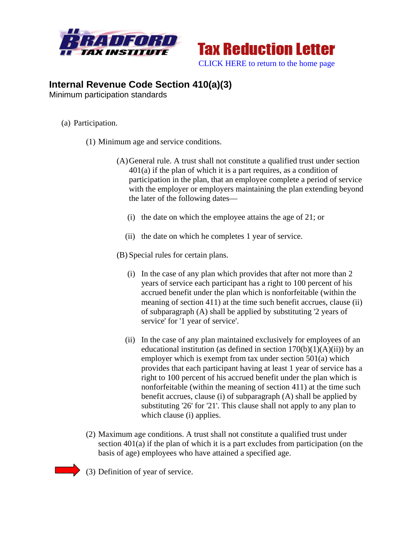



## **Internal Revenue Code Section 410(a)(3)**

Minimum participation standards

- (a) Participation.
	- (1) Minimum age and service conditions.
		- (A)General rule. A trust shall not constitute a qualified trust under section 401(a) if the plan of which it is a part requires, as a condition of participation in the plan, that an employee complete a period of service with the employer or employers maintaining the plan extending beyond the later of the following dates—
			- (i) the date on which the employee attains the age of 21; or
			- (ii) the date on which he completes 1 year of service.

(B) Special rules for certain plans.

- (i) In the case of any plan which provides that after not more than 2 years of service each participant has a right to 100 percent of his accrued benefit under the plan which is nonforfeitable (within the meaning of section 411) at the time such benefit accrues, clause (ii) of subparagraph (A) shall be applied by substituting '2 years of service' for '1 year of service'.
- (ii) In the case of any plan maintained exclusively for employees of an educational institution (as defined in section  $170(b)(1)(A)(ii)$ ) by an employer which is exempt from tax under section 501(a) which provides that each participant having at least 1 year of service has a right to 100 percent of his accrued benefit under the plan which is nonforfeitable (within the meaning of section 411) at the time such benefit accrues, clause (i) of subparagraph (A) shall be applied by substituting '26' for '21'. This clause shall not apply to any plan to which clause (i) applies.
- (2) Maximum age conditions. A trust shall not constitute a qualified trust under section 401(a) if the plan of which it is a part excludes from participation (on the basis of age) employees who have attained a specified age.
- (3) Definition of year of service.